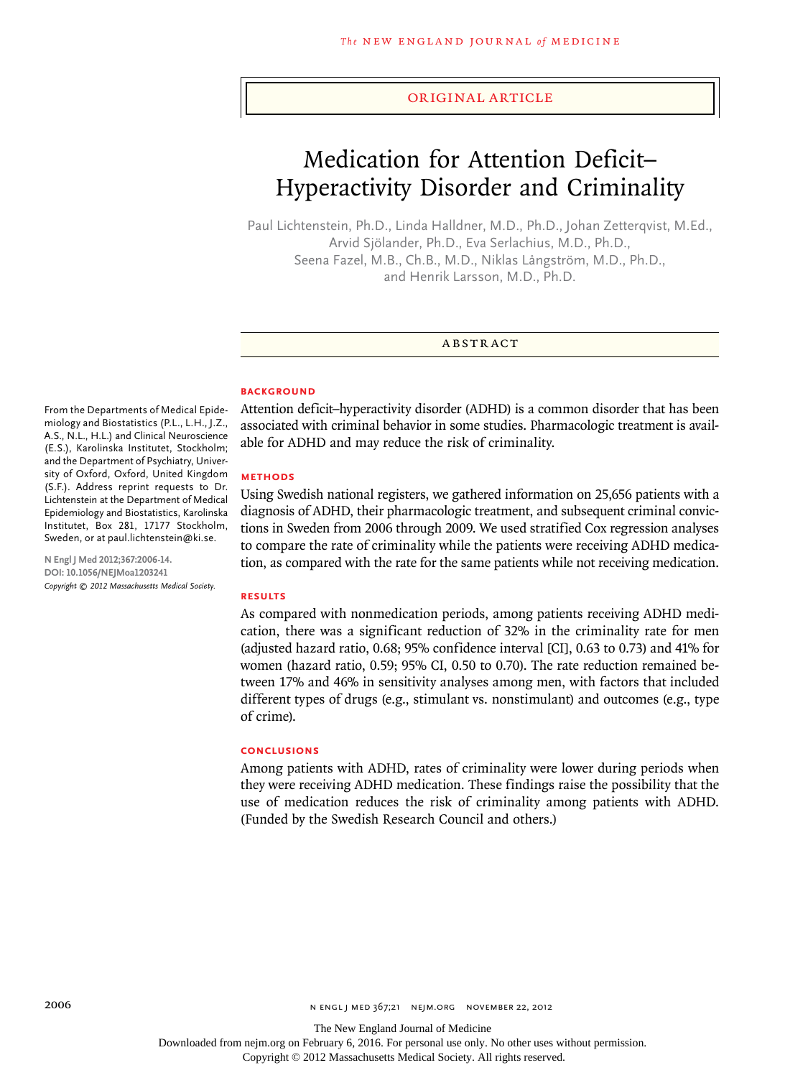# original article

# Medication for Attention Deficit– Hyperactivity Disorder and Criminality

Paul Lichtenstein, Ph.D., Linda Halldner, M.D., Ph.D., Johan Zetterqvist, M.Ed., Arvid Sjölander, Ph.D., Eva Serlachius, M.D., Ph.D., Seena Fazel, M.B., Ch.B., M.D., Niklas Långström, M.D., Ph.D., and Henrik Larsson, M.D., Ph.D.

#### **ABSTRACT**

## **BACKGROUND**

Attention deficit–hyperactivity disorder (ADHD) is a common disorder that has been associated with criminal behavior in some studies. Pharmacologic treatment is available for ADHD and may reduce the risk of criminality.

### **Methods**

Using Swedish national registers, we gathered information on 25,656 patients with a diagnosis of ADHD, their pharmacologic treatment, and subsequent criminal convictions in Sweden from 2006 through 2009. We used stratified Cox regression analyses to compare the rate of criminality while the patients were receiving ADHD medication, as compared with the rate for the same patients while not receiving medication.

#### **Results**

As compared with nonmedication periods, among patients receiving ADHD medication, there was a significant reduction of 32% in the criminality rate for men (adjusted hazard ratio, 0.68; 95% confidence interval [CI], 0.63 to 0.73) and 41% for women (hazard ratio, 0.59; 95% CI, 0.50 to 0.70). The rate reduction remained between 17% and 46% in sensitivity analyses among men, with factors that included different types of drugs (e.g., stimulant vs. nonstimulant) and outcomes (e.g., type of crime).

#### **Conclusions**

Among patients with ADHD, rates of criminality were lower during periods when they were receiving ADHD medication. These findings raise the possibility that the use of medication reduces the risk of criminality among patients with ADHD. (Funded by the Swedish Research Council and others.)

From the Departments of Medical Epidemiology and Biostatistics (P.L., L.H., J.Z., A.S., N.L., H.L.) and Clinical Neuroscience (E.S.), Karolinska Institutet, Stockholm; and the Department of Psychiatry, University of Oxford, Oxford, United Kingdom (S.F.). Address reprint requests to Dr. Lichtenstein at the Department of Medical Epidemiology and Biostatistics, Karolinska Institutet, Box 281, 17177 Stockholm, Sweden, or at paul.lichtenstein@ki.se.

**N Engl J Med 2012;367:2006-14. DOI: 10.1056/NEJMoa1203241** *Copyright © 2012 Massachusetts Medical Society.*

Downloaded from nejm.org on February 6, 2016. For personal use only. No other uses without permission.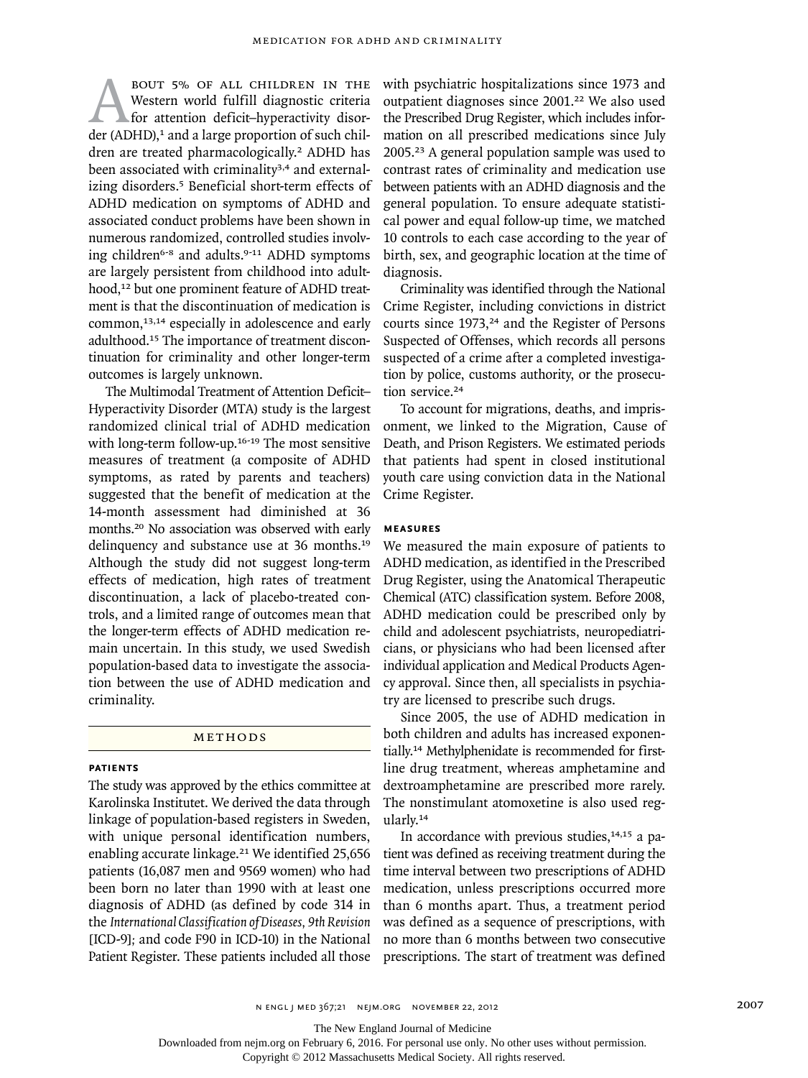BOUT 5% OF ALL CHILDREN IN THE Western world fulfill diagnostic criteria<br>for attention deficit-hyperactivity disor-<br>der (ADHD),<sup>1</sup> and a large proportion of such chil-Western world fulfill diagnostic criteria for attention deficit–hyperactivity disordren are treated pharmacologically.<sup>2</sup> ADHD has been associated with criminality<sup>3,4</sup> and externalizing disorders.<sup>5</sup> Beneficial short-term effects of ADHD medication on symptoms of ADHD and associated conduct problems have been shown in numerous randomized, controlled studies involving children<sup>6-8</sup> and adults.<sup>9-11</sup> ADHD symptoms are largely persistent from childhood into adulthood,<sup>12</sup> but one prominent feature of ADHD treatment is that the discontinuation of medication is common,<sup>13,14</sup> especially in adolescence and early adulthood.15 The importance of treatment discontinuation for criminality and other longer-term outcomes is largely unknown.

The Multimodal Treatment of Attention Deficit– Hyperactivity Disorder (MTA) study is the largest randomized clinical trial of ADHD medication with long-term follow-up.<sup>16-19</sup> The most sensitive measures of treatment (a composite of ADHD symptoms, as rated by parents and teachers) suggested that the benefit of medication at the 14-month assessment had diminished at 36 months.20 No association was observed with early delinquency and substance use at 36 months.<sup>19</sup> Although the study did not suggest long-term effects of medication, high rates of treatment discontinuation, a lack of placebo-treated controls, and a limited range of outcomes mean that the longer-term effects of ADHD medication remain uncertain. In this study, we used Swedish population-based data to investigate the association between the use of ADHD medication and criminality.

# METHODS

# **Patients**

The study was approved by the ethics committee at Karolinska Institutet. We derived the data through linkage of population-based registers in Sweden, with unique personal identification numbers, enabling accurate linkage.21 We identified 25,656 patients (16,087 men and 9569 women) who had been born no later than 1990 with at least one diagnosis of ADHD (as defined by code 314 in the *International Classification of Diseases, 9th Revision* [ICD-9]*;* and code F90 in ICD-10) in the National Patient Register. These patients included all those

with psychiatric hospitalizations since 1973 and outpatient diagnoses since 2001.<sup>22</sup> We also used the Prescribed Drug Register, which includes information on all prescribed medications since July 2005.23 A general population sample was used to contrast rates of criminality and medication use between patients with an ADHD diagnosis and the general population. To ensure adequate statistical power and equal follow-up time, we matched 10 controls to each case according to the year of birth, sex, and geographic location at the time of diagnosis.

Criminality was identified through the National Crime Register, including convictions in district courts since 1973,<sup>24</sup> and the Register of Persons Suspected of Offenses, which records all persons suspected of a crime after a completed investigation by police, customs authority, or the prosecution service.<sup>24</sup>

To account for migrations, deaths, and imprisonment, we linked to the Migration, Cause of Death, and Prison Registers. We estimated periods that patients had spent in closed institutional youth care using conviction data in the National Crime Register.

# **Measures**

We measured the main exposure of patients to ADHD medication, as identified in the Prescribed Drug Register, using the Anatomical Therapeutic Chemical (ATC) classification system. Before 2008, ADHD medication could be prescribed only by child and adolescent psychiatrists, neuropediatricians, or physicians who had been licensed after individual application and Medical Products Agency approval. Since then, all specialists in psychiatry are licensed to prescribe such drugs.

Since 2005, the use of ADHD medication in both children and adults has increased exponentially.14 Methylphenidate is recommended for firstline drug treatment, whereas amphetamine and dextroamphetamine are prescribed more rarely. The nonstimulant atomoxetine is also used regularly.<sup>14</sup>

In accordance with previous studies, $14,15$  a patient was defined as receiving treatment during the time interval between two prescriptions of ADHD medication, unless prescriptions occurred more than 6 months apart. Thus, a treatment period was defined as a sequence of prescriptions, with no more than 6 months between two consecutive prescriptions. The start of treatment was defined

n engl j med 367;21 nejm.org november 22, 2012 2007

The New England Journal of Medicine

Downloaded from nejm.org on February 6, 2016. For personal use only. No other uses without permission.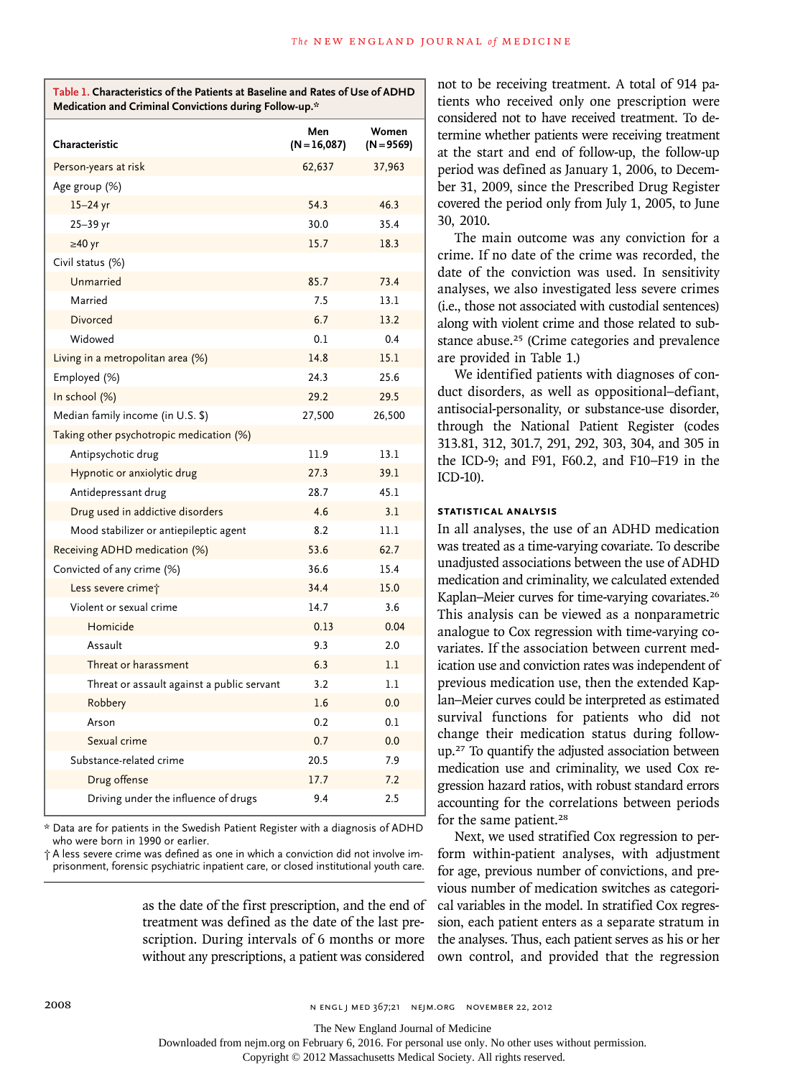| Table 1. Characteristics of the Patients at Baseline and Rates of Use of ADHD |
|-------------------------------------------------------------------------------|
| Medication and Criminal Convictions during Follow-up.*                        |

| Characteristic                             | Men<br>$(N=16,087)$ | Women<br>$(N = 9569)$ |
|--------------------------------------------|---------------------|-----------------------|
| Person-years at risk                       | 62,637              | 37,963                |
| Age group (%)                              |                     |                       |
| $15-24$ yr                                 | 54.3                | 46.3                  |
| 25-39 yr                                   | 30.0                | 35.4                  |
| $\geq 40$ yr                               | 15.7                | 18.3                  |
| Civil status (%)                           |                     |                       |
| Unmarried                                  | 85.7                | 73.4                  |
| Married                                    | 7.5                 | 13.1                  |
| <b>Divorced</b>                            | 6.7                 | 13.2                  |
| Widowed                                    | 0.1                 | 0.4                   |
| Living in a metropolitan area (%)          | 14.8                | 15.1                  |
| Employed (%)                               | 24.3                | 25.6                  |
| In school (%)                              | 29.2                | 29.5                  |
| Median family income (in U.S. \$)          | 27,500              | 26,500                |
| Taking other psychotropic medication (%)   |                     |                       |
| Antipsychotic drug                         | 11.9                | 13.1                  |
| Hypnotic or anxiolytic drug                | 27.3                | 39.1                  |
| Antidepressant drug                        | 28.7                | 45.1                  |
| Drug used in addictive disorders           | 4.6                 | 3.1                   |
| Mood stabilizer or antiepileptic agent     | 8.2                 | 11.1                  |
| Receiving ADHD medication (%)              | 53.6                | 62.7                  |
| Convicted of any crime (%)                 | 36.6                | 15.4                  |
| Less severe crimet                         | 34.4                | 15.0                  |
| Violent or sexual crime                    | 14.7                | 3.6                   |
| Homicide                                   | 0.13                | 0.04                  |
| Assault                                    | 9.3                 | 2.0                   |
| Threat or harassment                       | 6.3                 | 1.1                   |
| Threat or assault against a public servant | 3.2                 | 1.1                   |
| Robbery                                    | 1.6                 | 0.0                   |
| Arson                                      | 0.2                 | 0.1                   |
| Sexual crime                               | 0.7                 | 0.0                   |
| Substance-related crime                    | 20.5                | 7.9                   |
| Drug offense                               | 17.7                | 7.2                   |
| Driving under the influence of drugs       | 9.4                 | 2.5                   |

\* Data are for patients in the Swedish Patient Register with a diagnosis of ADHD who were born in 1990 or earlier.

† A less severe crime was defined as one in which a conviction did not involve imprisonment, forensic psychiatric inpatient care, or closed institutional youth care.

> as the date of the first prescription, and the end of treatment was defined as the date of the last prescription. During intervals of 6 months or more without any prescriptions, a patient was considered

not to be receiving treatment. A total of 914 patients who received only one prescription were considered not to have received treatment. To determine whether patients were receiving treatment at the start and end of follow-up, the follow-up period was defined as January 1, 2006, to December 31, 2009, since the Prescribed Drug Register covered the period only from July 1, 2005, to June 30, 2010.

The main outcome was any conviction for a crime. If no date of the crime was recorded, the date of the conviction was used. In sensitivity analyses, we also investigated less severe crimes (i.e., those not associated with custodial sentences) along with violent crime and those related to substance abuse.25 (Crime categories and prevalence are provided in Table 1.)

We identified patients with diagnoses of conduct disorders, as well as oppositional–defiant, antisocial-personality, or substance-use disorder, through the National Patient Register (codes 313.81, 312, 301.7, 291, 292, 303, 304, and 305 in the ICD-9; and F91, F60.2, and F10–F19 in the ICD-10).

# **Statistical Analysis**

In all analyses, the use of an ADHD medication was treated as a time-varying covariate. To describe unadjusted associations between the use of ADHD medication and criminality, we calculated extended Kaplan–Meier curves for time-varying covariates.<sup>26</sup> This analysis can be viewed as a nonparametric analogue to Cox regression with time-varying covariates. If the association between current medication use and conviction rates was independent of previous medication use, then the extended Kaplan–Meier curves could be interpreted as estimated survival functions for patients who did not change their medication status during followup.27 To quantify the adjusted association between medication use and criminality, we used Cox regression hazard ratios, with robust standard errors accounting for the correlations between periods for the same patient.<sup>28</sup>

Next, we used stratified Cox regression to perform within-patient analyses, with adjustment for age, previous number of convictions, and previous number of medication switches as categorical variables in the model. In stratified Cox regression, each patient enters as a separate stratum in the analyses. Thus, each patient serves as his or her own control, and provided that the regression

The New England Journal of Medicine

Downloaded from nejm.org on February 6, 2016. For personal use only. No other uses without permission.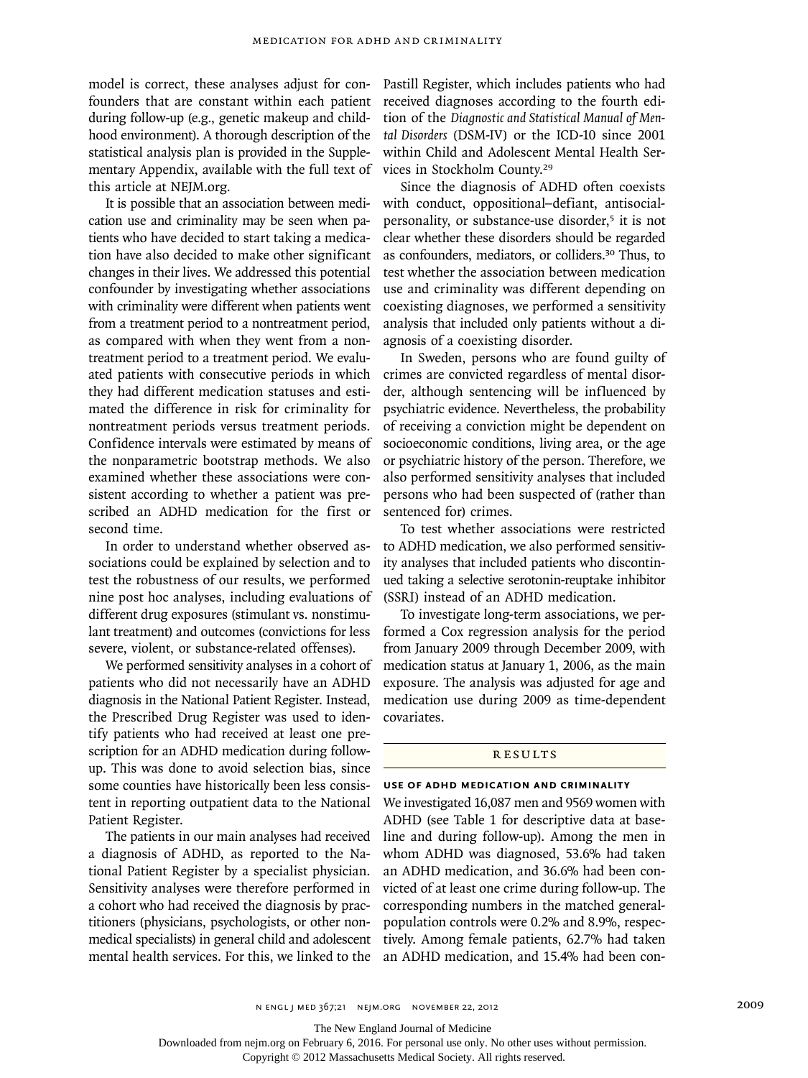model is correct, these analyses adjust for confounders that are constant within each patient during follow-up (e.g., genetic makeup and childhood environment). A thorough description of the statistical analysis plan is provided in the Supplementary Appendix, available with the full text of this article at NEJM.org.

It is possible that an association between medication use and criminality may be seen when patients who have decided to start taking a medication have also decided to make other significant changes in their lives. We addressed this potential confounder by investigating whether associations with criminality were different when patients went from a treatment period to a nontreatment period, as compared with when they went from a nontreatment period to a treatment period. We evaluated patients with consecutive periods in which they had different medication statuses and estimated the difference in risk for criminality for nontreatment periods versus treatment periods. Confidence intervals were estimated by means of the nonparametric bootstrap methods. We also examined whether these associations were consistent according to whether a patient was prescribed an ADHD medication for the first or second time.

In order to understand whether observed associations could be explained by selection and to test the robustness of our results, we performed nine post hoc analyses, including evaluations of different drug exposures (stimulant vs. nonstimulant treatment) and outcomes (convictions for less severe, violent, or substance-related offenses).

We performed sensitivity analyses in a cohort of patients who did not necessarily have an ADHD diagnosis in the National Patient Register. Instead, the Prescribed Drug Register was used to identify patients who had received at least one prescription for an ADHD medication during followup. This was done to avoid selection bias, since some counties have historically been less consistent in reporting outpatient data to the National Patient Register.

The patients in our main analyses had received a diagnosis of ADHD, as reported to the National Patient Register by a specialist physician. Sensitivity analyses were therefore performed in a cohort who had received the diagnosis by practitioners (physicians, psychologists, or other nonmedical specialists) in general child and adolescent mental health services. For this, we linked to the

Pastill Register, which includes patients who had received diagnoses according to the fourth edition of the *Diagnostic and Statistical Manual of Mental Disorders* (DSM-IV) or the ICD-10 since 2001 within Child and Adolescent Mental Health Services in Stockholm County.<sup>29</sup>

Since the diagnosis of ADHD often coexists with conduct, oppositional–defiant, antisocialpersonality, or substance-use disorder,<sup>5</sup> it is not clear whether these disorders should be regarded as confounders, mediators, or colliders.30 Thus, to test whether the association between medication use and criminality was different depending on coexisting diagnoses, we performed a sensitivity analysis that included only patients without a diagnosis of a coexisting disorder.

In Sweden, persons who are found guilty of crimes are convicted regardless of mental disorder, although sentencing will be influenced by psychiatric evidence. Nevertheless, the probability of receiving a conviction might be dependent on socioeconomic conditions, living area, or the age or psychiatric history of the person. Therefore, we also performed sensitivity analyses that included persons who had been suspected of (rather than sentenced for) crimes.

To test whether associations were restricted to ADHD medication, we also performed sensitivity analyses that included patients who discontinued taking a selective serotonin-reuptake inhibitor (SSRI) instead of an ADHD medication.

To investigate long-term associations, we performed a Cox regression analysis for the period from January 2009 through December 2009, with medication status at January 1, 2006, as the main exposure. The analysis was adjusted for age and medication use during 2009 as time-dependent covariates.

#### **RESULTS**

#### **use of ADHD mediCation and criminality**

We investigated 16,087 men and 9569 women with ADHD (see Table 1 for descriptive data at baseline and during follow-up). Among the men in whom ADHD was diagnosed, 53.6% had taken an ADHD medication, and 36.6% had been convicted of at least one crime during follow-up. The corresponding numbers in the matched generalpopulation controls were 0.2% and 8.9%, respectively. Among female patients, 62.7% had taken an ADHD medication, and 15.4% had been con-

The New England Journal of Medicine

Downloaded from nejm.org on February 6, 2016. For personal use only. No other uses without permission.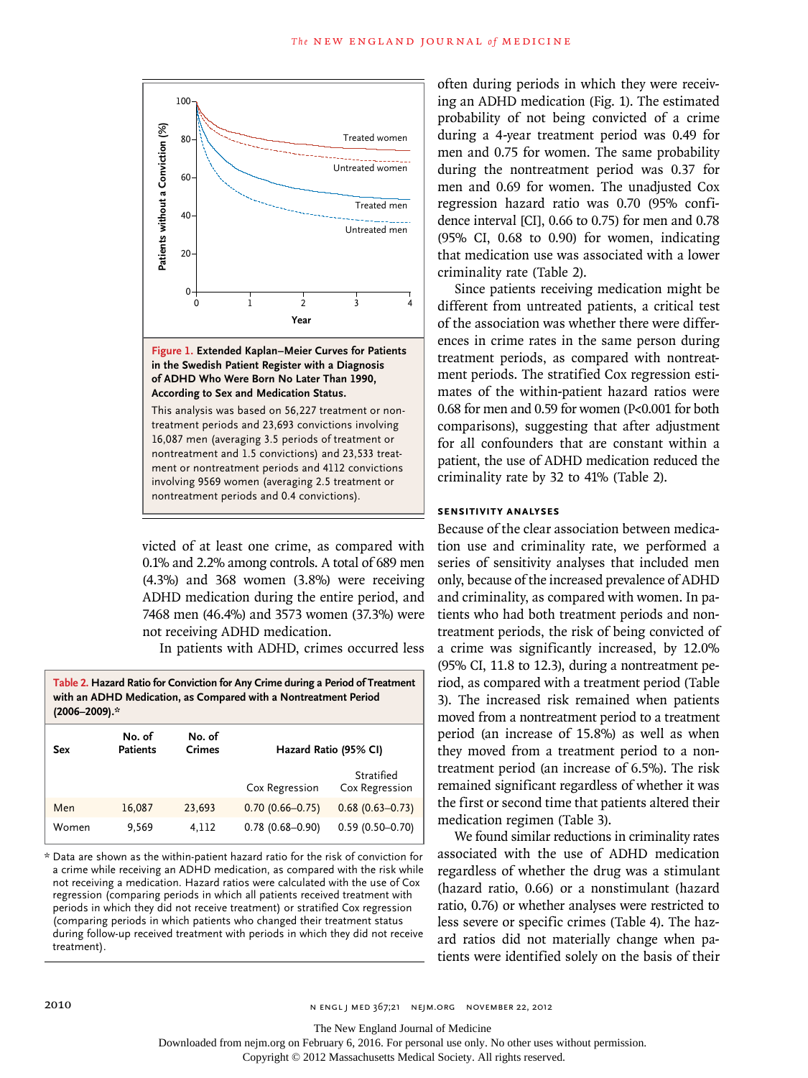

**Figure 1. Extended Kaplan–Meier Curves for Patients in the Swedish Patient Register with a Diagnosis of ADHD Who Were Born No Later Than 1990, According to Sex and Medication Status.**

This analysis was based on 56,227 treatment or nontreatment periods and 23,693 convictions involving 16,087 men (averaging 3.5 periods of treatment or nontreatment and 1.5 convictions) and 23,533 treatment or nontreatment periods and 4112 convictions involving 9569 women (averaging 2.5 treatment or nontreatment periods and 0.4 convictions).

victed of at least one crime, as compared with 0.1% and 2.2% among controls. A total of 689 men (4.3%) and 368 women (3.8%) were receiving ADHD medication during the entire period, and 7468 men (46.4%) and 3573 women (37.3%) were not receiving ADHD medication.

In patients with ADHD, crimes occurred less

| Table 2. Hazard Ratio for Conviction for Any Crime during a Period of Treatment |
|---------------------------------------------------------------------------------|
| with an ADHD Medication, as Compared with a Nontreatment Period                 |
| (2006–2009).*                                                                   |

| Sex   | No. of<br><b>Patients</b> | No. of<br><b>Crimes</b> | Hazard Ratio (95% CI) |                              |  |
|-------|---------------------------|-------------------------|-----------------------|------------------------------|--|
|       |                           |                         | Cox Regression        | Stratified<br>Cox Regression |  |
| Men   | 16,087                    | 23,693                  | $0.70(0.66 - 0.75)$   | $0.68(0.63 - 0.73)$          |  |
| Women | 9,569                     | 4.112                   | $0.78(0.68 - 0.90)$   | $0.59(0.50 - 0.70)$          |  |

\* Data are shown as the within-patient hazard ratio for the risk of conviction for a crime while receiving an ADHD medication, as compared with the risk while not receiving a medication. Hazard ratios were calculated with the use of Cox regression (comparing periods in which all patients received treatment with periods in which they did not receive treatment) or stratified Cox regression (comparing periods in which patients who changed their treatment status during follow-up received treatment with periods in which they did not receive treatment).

often during periods in which they were receiving an ADHD medication (Fig. 1). The estimated probability of not being convicted of a crime during a 4-year treatment period was 0.49 for men and 0.75 for women. The same probability during the nontreatment period was 0.37 for men and 0.69 for women. The unadjusted Cox regression hazard ratio was 0.70 (95% confidence interval [CI], 0.66 to 0.75) for men and 0.78 (95% CI, 0.68 to 0.90) for women, indicating that medication use was associated with a lower criminality rate (Table 2).

Since patients receiving medication might be different from untreated patients, a critical test of the association was whether there were differences in crime rates in the same person during treatment periods, as compared with nontreatment periods. The stratified Cox regression estimates of the within-patient hazard ratios were 0.68 for men and 0.59 for women (P<0.001 for both comparisons), suggesting that after adjustment for all confounders that are constant within a patient, the use of ADHD medication reduced the criminality rate by 32 to 41% (Table 2).

## **Sensitivity Analyses**

Because of the clear association between medication use and criminality rate, we performed a series of sensitivity analyses that included men only, because of the increased prevalence of ADHD and criminality, as compared with women. In patients who had both treatment periods and nontreatment periods, the risk of being convicted of a crime was significantly increased, by 12.0% (95% CI, 11.8 to 12.3), during a nontreatment period, as compared with a treatment period (Table 3). The increased risk remained when patients moved from a nontreatment period to a treatment period (an increase of 15.8%) as well as when they moved from a treatment period to a nontreatment period (an increase of 6.5%). The risk remained significant regardless of whether it was the first or second time that patients altered their medication regimen (Table 3).

We found similar reductions in criminality rates associated with the use of ADHD medication regardless of whether the drug was a stimulant (hazard ratio, 0.66) or a nonstimulant (hazard ratio, 0.76) or whether analyses were restricted to less severe or specific crimes (Table 4). The hazard ratios did not materially change when patients were identified solely on the basis of their

Downloaded from nejm.org on February 6, 2016. For personal use only. No other uses without permission.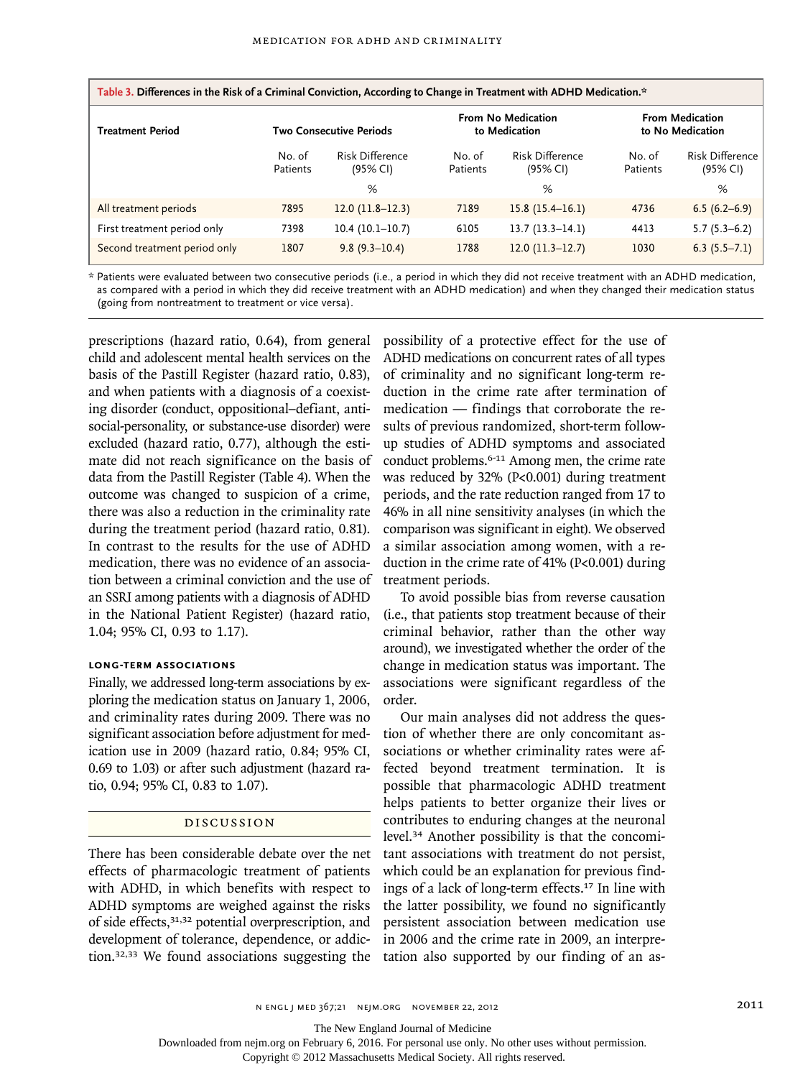| Table 3. Differences in the Risk of a Criminal Conviction, According to Change in Treatment with ADHD Medication.* |                    |                                |                    |                                     |                    |                                            |  |
|--------------------------------------------------------------------------------------------------------------------|--------------------|--------------------------------|--------------------|-------------------------------------|--------------------|--------------------------------------------|--|
| <b>Treatment Period</b>                                                                                            |                    | <b>Two Consecutive Periods</b> |                    | From No Medication<br>to Medication |                    | <b>From Medication</b><br>to No Medication |  |
|                                                                                                                    | No. of<br>Patients | Risk Difference<br>(95% CI)    | No. of<br>Patients | Risk Difference<br>(95% CI)         | No. of<br>Patients | Risk Difference<br>(95% CI)                |  |
|                                                                                                                    |                    | %                              |                    | %                                   |                    | %                                          |  |
| All treatment periods                                                                                              | 7895               | $12.0(11.8-12.3)$              | 7189               | $15.8(15.4-16.1)$                   | 4736               | $6.5(6.2-6.9)$                             |  |
| First treatment period only                                                                                        | 7398               | $10.4(10.1-10.7)$              | 6105               | $13.7(13.3-14.1)$                   | 4413               | $5.7(5.3-6.2)$                             |  |
| Second treatment period only                                                                                       | 1807               | $9.8(9.3 - 10.4)$              | 1788               | $12.0(11.3-12.7)$                   | 1030               | $6.3(5.5 - 7.1)$                           |  |

\* Patients were evaluated between two consecutive periods (i.e., a period in which they did not receive treatment with an ADHD medication, as compared with a period in which they did receive treatment with an ADHD medication) and when they changed their medication status (going from nontreatment to treatment or vice versa).

prescriptions (hazard ratio, 0.64), from general child and adolescent mental health services on the basis of the Pastill Register (hazard ratio, 0.83), and when patients with a diagnosis of a coexisting disorder (conduct, oppositional–defiant, antisocial-personality, or substance-use disorder) were excluded (hazard ratio, 0.77), although the estimate did not reach significance on the basis of data from the Pastill Register (Table 4). When the outcome was changed to suspicion of a crime, there was also a reduction in the criminality rate during the treatment period (hazard ratio, 0.81). In contrast to the results for the use of ADHD medication, there was no evidence of an association between a criminal conviction and the use of an SSRI among patients with a diagnosis of ADHD in the National Patient Register) (hazard ratio, 1.04; 95% CI, 0.93 to 1.17).

# **Long-Term Associations**

Finally, we addressed long-term associations by exploring the medication status on January 1, 2006, and criminality rates during 2009. There was no significant association before adjustment for medication use in 2009 (hazard ratio, 0.84; 95% CI, 0.69 to 1.03) or after such adjustment (hazard ratio, 0.94; 95% CI, 0.83 to 1.07).

#### Discussion

There has been considerable debate over the net effects of pharmacologic treatment of patients with ADHD, in which benefits with respect to ADHD symptoms are weighed against the risks of side effects,31,32 potential overprescription, and development of tolerance, dependence, or addiction.32,33 We found associations suggesting the possibility of a protective effect for the use of ADHD medications on concurrent rates of all types of criminality and no significant long-term reduction in the crime rate after termination of medication — findings that corroborate the results of previous randomized, short-term followup studies of ADHD symptoms and associated conduct problems.6-11 Among men, the crime rate was reduced by 32% (P<0.001) during treatment periods, and the rate reduction ranged from 17 to 46% in all nine sensitivity analyses (in which the comparison was significant in eight). We observed a similar association among women, with a reduction in the crime rate of 41% (P<0.001) during treatment periods.

To avoid possible bias from reverse causation (i.e., that patients stop treatment because of their criminal behavior, rather than the other way around), we investigated whether the order of the change in medication status was important. The associations were significant regardless of the order.

Our main analyses did not address the question of whether there are only concomitant associations or whether criminality rates were affected beyond treatment termination. It is possible that pharmacologic ADHD treatment helps patients to better organize their lives or contributes to enduring changes at the neuronal level.34 Another possibility is that the concomitant associations with treatment do not persist, which could be an explanation for previous findings of a lack of long-term effects.<sup>17</sup> In line with the latter possibility, we found no significantly persistent association between medication use in 2006 and the crime rate in 2009, an interpretation also supported by our finding of an as-

n engl j med 367;21 nejm.org november 22, 2012 2011

The New England Journal of Medicine

Downloaded from nejm.org on February 6, 2016. For personal use only. No other uses without permission.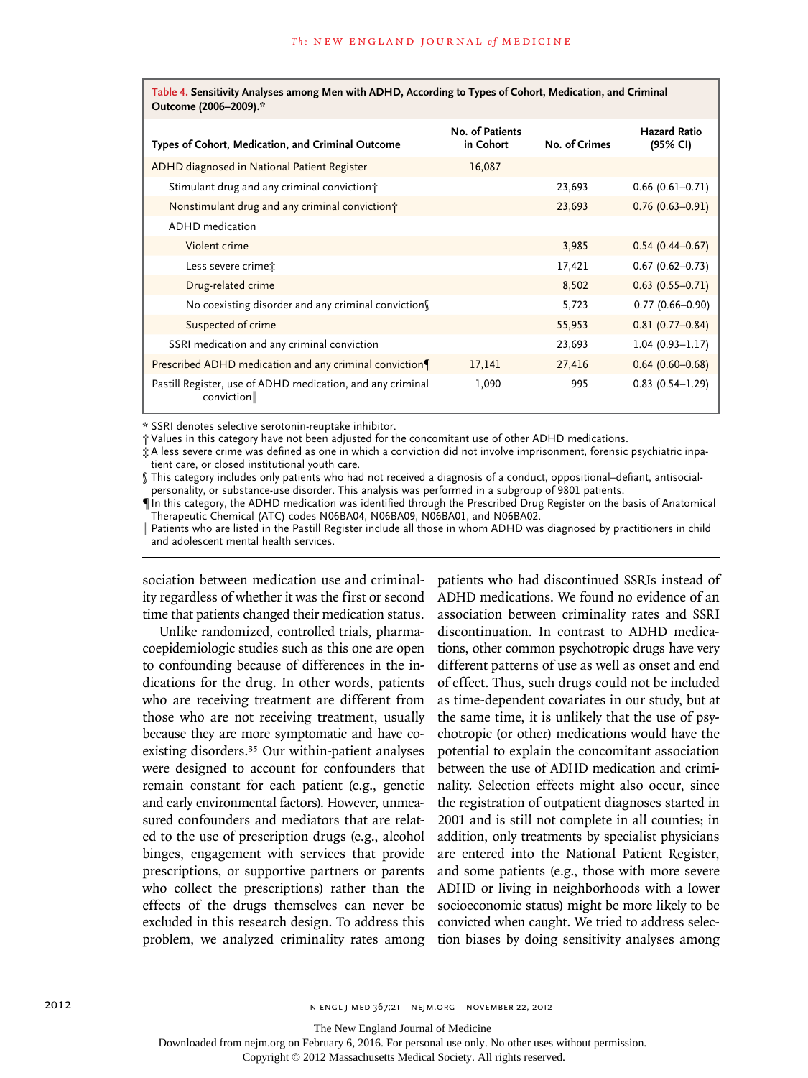| Table 4. Sensitivity Analyses among Men with ADHD, According to Types of Cohort, Medication, and Criminal<br>Outcome (2006-2009).* |                              |               |                                 |  |
|------------------------------------------------------------------------------------------------------------------------------------|------------------------------|---------------|---------------------------------|--|
| Types of Cohort, Medication, and Criminal Outcome                                                                                  | No. of Patients<br>in Cohort | No. of Crimes | <b>Hazard Ratio</b><br>(95% CI) |  |
| ADHD diagnosed in National Patient Register                                                                                        | 16,087                       |               |                                 |  |
| Stimulant drug and any criminal conviction                                                                                         |                              | 23,693        | $0.66(0.61 - 0.71)$             |  |
| Nonstimulant drug and any criminal conviction <sup>†</sup>                                                                         |                              | 23,693        | $0.76(0.63 - 0.91)$             |  |
| <b>ADHD</b> medication                                                                                                             |                              |               |                                 |  |
| Violent crime                                                                                                                      |                              | 3,985         | $0.54(0.44 - 0.67)$             |  |
| Less severe crimet:                                                                                                                |                              | 17,421        | $0.67(0.62 - 0.73)$             |  |
| Drug-related crime                                                                                                                 |                              | 8,502         | $0.63$ $(0.55 - 0.71)$          |  |
| No coexisting disorder and any criminal conviction                                                                                 |                              | 5,723         | $0.77(0.66 - 0.90)$             |  |
| Suspected of crime                                                                                                                 |                              | 55,953        | $0.81(0.77-0.84)$               |  |
| SSRI medication and any criminal conviction                                                                                        |                              | 23,693        | $1.04(0.93 - 1.17)$             |  |
| Prescribed ADHD medication and any criminal conviction                                                                             | 17,141                       | 27,416        | $0.64(0.60 - 0.68)$             |  |
| Pastill Register, use of ADHD medication, and any criminal<br>conviction∥                                                          | 1,090                        | 995           | $0.83(0.54 - 1.29)$             |  |

\* SSRI denotes selective serotonin-reuptake inhibitor.

† Values in this category have not been adjusted for the concomitant use of other ADHD medications.

‡ A less severe crime was defined as one in which a conviction did not involve imprisonment, forensic psychiatric inpatient care, or closed institutional youth care.

§ This category includes only patients who had not received a diagnosis of a conduct, oppositional–defiant, antisocialpersonality, or substance-use disorder. This analysis was performed in a subgroup of 9801 patients.

¶In this category, the ADHD medication was identified through the Prescribed Drug Register on the basis of Anatomical Therapeutic Chemical (ATC) codes N06BA04, N06BA09, N06BA01, and N06BA02.

‖ Patients who are listed in the Pastill Register include all those in whom ADHD was diagnosed by practitioners in child and adolescent mental health services.

sociation between medication use and criminality regardless of whether it was the first or second time that patients changed their medication status.

Unlike randomized, controlled trials, pharmacoepidemiologic studies such as this one are open to confounding because of differences in the indications for the drug. In other words, patients who are receiving treatment are different from those who are not receiving treatment, usually because they are more symptomatic and have coexisting disorders.35 Our within-patient analyses were designed to account for confounders that remain constant for each patient (e.g., genetic and early environmental factors). However, unmeasured confounders and mediators that are related to the use of prescription drugs (e.g., alcohol binges, engagement with services that provide prescriptions, or supportive partners or parents who collect the prescriptions) rather than the effects of the drugs themselves can never be excluded in this research design. To address this problem, we analyzed criminality rates among tion biases by doing sensitivity analyses among

patients who had discontinued SSRIs instead of ADHD medications. We found no evidence of an association between criminality rates and SSRI discontinuation. In contrast to ADHD medications, other common psychotropic drugs have very different patterns of use as well as onset and end of effect. Thus, such drugs could not be included as time-dependent covariates in our study, but at the same time, it is unlikely that the use of psychotropic (or other) medications would have the potential to explain the concomitant association between the use of ADHD medication and criminality. Selection effects might also occur, since the registration of outpatient diagnoses started in 2001 and is still not complete in all counties; in addition, only treatments by specialist physicians are entered into the National Patient Register, and some patients (e.g., those with more severe ADHD or living in neighborhoods with a lower socioeconomic status) might be more likely to be convicted when caught. We tried to address selec-

The New England Journal of Medicine

Downloaded from nejm.org on February 6, 2016. For personal use only. No other uses without permission.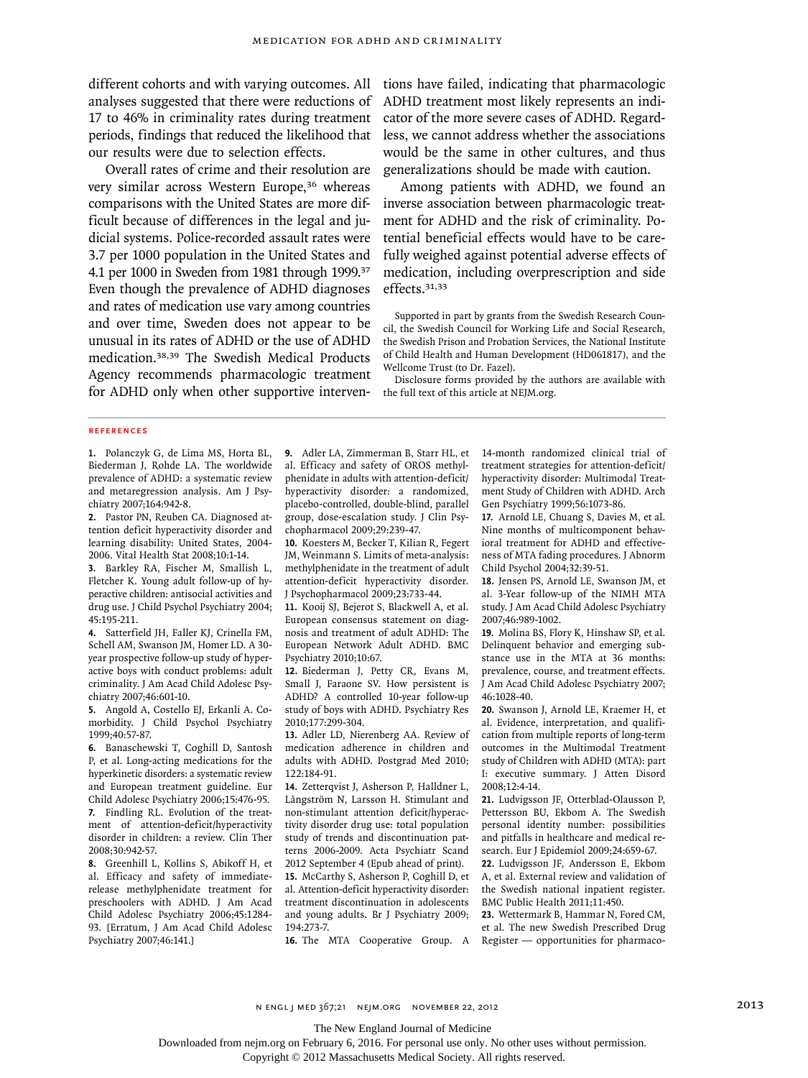our results were due to selection effects.

Overall rates of crime and their resolution are very similar across Western Europe,<sup>36</sup> whereas comparisons with the United States are more difficult because of differences in the legal and judicial systems. Police-recorded assault rates were 3.7 per 1000 population in the United States and 4.1 per 1000 in Sweden from 1981 through 1999.<sup>37</sup> Even though the prevalence of ADHD diagnoses and rates of medication use vary among countries and over time, Sweden does not appear to be unusual in its rates of ADHD or the use of ADHD medication.38,39 The Swedish Medical Products Agency recommends pharmacologic treatment for ADHD only when other supportive interven-

different cohorts and with varying outcomes. All tions have failed, indicating that pharmacologic analyses suggested that there were reductions of ADHD treatment most likely represents an indi-17 to 46% in criminality rates during treatment cator of the more severe cases of ADHD. Regardperiods, findings that reduced the likelihood that less, we cannot address whether the associations would be the same in other cultures, and thus generalizations should be made with caution.

> Among patients with ADHD, we found an inverse association between pharmacologic treatment for ADHD and the risk of criminality. Potential beneficial effects would have to be carefully weighed against potential adverse effects of medication, including overprescription and side effects.31,33

> Supported in part by grants from the Swedish Research Council, the Swedish Council for Working Life and Social Research, the Swedish Prison and Probation Services, the National Institute of Child Health and Human Development (HD061817), and the Wellcome Trust (to Dr. Fazel).

> Disclosure forms provided by the authors are available with the full text of this article at NEJM.org.

#### **References**

**1.** Polanczyk G, de Lima MS, Horta BL, Biederman J, Rohde LA. The worldwide prevalence of ADHD: a systematic review and metaregression analysis. Am J Psychiatry 2007;164:942-8.

**2.** Pastor PN, Reuben CA. Diagnosed attention deficit hyperactivity disorder and learning disability: United States, 2004- 2006. Vital Health Stat 2008;10:1-14.

**3.** Barkley RA, Fischer M, Smallish L, Fletcher K. Young adult follow-up of hyperactive children: antisocial activities and drug use. J Child Psychol Psychiatry 2004; 45:195-211.

**4.** Satterfield JH, Faller KJ, Crinella FM, Schell AM, Swanson JM, Homer LD. A 30 year prospective follow-up study of hyperactive boys with conduct problems: adult criminality. J Am Acad Child Adolesc Psychiatry 2007;46:601-10.

**5.** Angold A, Costello EJ, Erkanli A. Comorbidity. J Child Psychol Psychiatry 1999;40:57-87.

**6.** Banaschewski T, Coghill D, Santosh P, et al. Long-acting medications for the hyperkinetic disorders: a systematic review and European treatment guideline. Eur Child Adolesc Psychiatry 2006;15:476-95. **7.** Findling RL. Evolution of the treatment of attention-deficit/hyperactivity disorder in children: a review. Clin Ther

2008;30:942-57. **8.** Greenhill L, Kollins S, Abikoff H, et al. Efficacy and safety of immediaterelease methylphenidate treatment for preschoolers with ADHD. J Am Acad Child Adolesc Psychiatry 2006;45:1284- 93. [Erratum, J Am Acad Child Adolesc Psychiatry 2007;46:141.]

**9.** Adler LA, Zimmerman B, Starr HL, et al. Efficacy and safety of OROS methylphenidate in adults with attention-deficit/ hyperactivity disorder: a randomized, placebo-controlled, double-blind, parallel group, dose-escalation study. J Clin Psychopharmacol 2009;29:239-47.

**10.** Koesters M, Becker T, Kilian R, Fegert JM, Weinmann S. Limits of meta-analysis: methylphenidate in the treatment of adult attention-deficit hyperactivity disorder. J Psychopharmacol 2009;23:733-44.

**11.** Kooij SJ, Bejerot S, Blackwell A, et al. European consensus statement on diagnosis and treatment of adult ADHD: The European Network Adult ADHD. BMC Psychiatry 2010;10:67.

**12.** Biederman J, Petty CR, Evans M, Small J, Faraone SV. How persistent is ADHD? A controlled 10-year follow-up study of boys with ADHD. Psychiatry Res 2010;177:299-304.

**13.** Adler LD, Nierenberg AA. Review of medication adherence in children and adults with ADHD. Postgrad Med 2010; 122:184-91.

**14.** Zetterqvist J, Asherson P, Halldner L, Långström N, Larsson H. Stimulant and non-stimulant attention deficit/hyperactivity disorder drug use: total population study of trends and discontinuation patterns 2006-2009. Acta Psychiatr Scand 2012 September 4 (Epub ahead of print). **15.** McCarthy S, Asherson P, Coghill D, et al. Attention-deficit hyperactivity disorder:

treatment discontinuation in adolescents and young adults. Br J Psychiatry 2009; 194:273-7.

14-month randomized clinical trial of treatment strategies for attention-deficit/ hyperactivity disorder: Multimodal Treatment Study of Children with ADHD. Arch Gen Psychiatry 1999;56:1073-86.

**17.** Arnold LE, Chuang S, Davies M, et al. Nine months of multicomponent behavioral treatment for ADHD and effectiveness of MTA fading procedures. J Abnorm Child Psychol 2004;32:39-51.

**18.** Jensen PS, Arnold LE, Swanson JM, et al. 3-Year follow-up of the NIMH MTA study. J Am Acad Child Adolesc Psychiatry 2007;46:989-1002.

**19.** Molina BS, Flory K, Hinshaw SP, et al. Delinquent behavior and emerging substance use in the MTA at 36 months: prevalence, course, and treatment effects. J Am Acad Child Adolesc Psychiatry 2007; 46:1028-40.

**20.** Swanson J, Arnold LE, Kraemer H, et al. Evidence, interpretation, and qualification from multiple reports of long-term outcomes in the Multimodal Treatment study of Children with ADHD (MTA): part I: executive summary. J Atten Disord 2008;12:4-14.

**21.** Ludvigsson JF, Otterblad-Olausson P, Pettersson BU, Ekbom A. The Swedish personal identity number: possibilities and pitfalls in healthcare and medical research. Eur J Epidemiol 2009;24:659-67.

**22.** Ludvigsson JF, Andersson E, Ekbom A, et al. External review and validation of the Swedish national inpatient register. BMC Public Health 2011;11:450.

16. The MTA Cooperative Group. A Register - opportunities for pharmaco-**23.** Wettermark B, Hammar N, Fored CM, et al. The new Swedish Prescribed Drug

The New England Journal of Medicine

Downloaded from nejm.org on February 6, 2016. For personal use only. No other uses without permission.